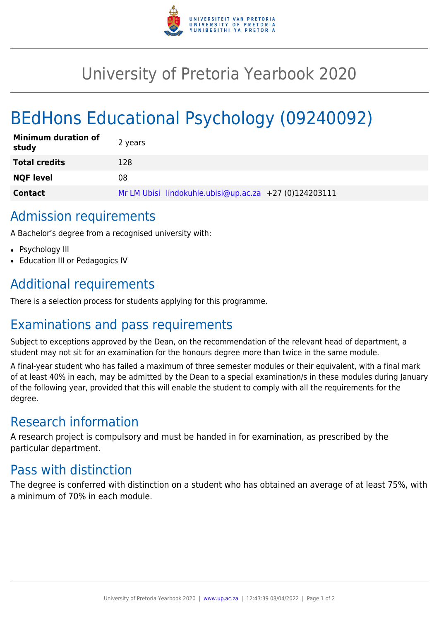

## University of Pretoria Yearbook 2020

# BEdHons Educational Psychology (09240092)

| <b>Minimum duration of</b><br>study | 2 years                                                |
|-------------------------------------|--------------------------------------------------------|
| <b>Total credits</b>                | 128                                                    |
| <b>NQF level</b>                    | 08                                                     |
| <b>Contact</b>                      | Mr LM Ubisi lindokuhle.ubisi@up.ac.za +27 (0)124203111 |

#### Admission requirements

A Bachelor's degree from a recognised university with:

- Psychology III
- Education III or Pedagogics IV

## Additional requirements

There is a selection process for students applying for this programme.

## Examinations and pass requirements

Subject to exceptions approved by the Dean, on the recommendation of the relevant head of department, a student may not sit for an examination for the honours degree more than twice in the same module.

A final-year student who has failed a maximum of three semester modules or their equivalent, with a final mark of at least 40% in each, may be admitted by the Dean to a special examination/s in these modules during January of the following year, provided that this will enable the student to comply with all the requirements for the degree.

### Research information

A research project is compulsory and must be handed in for examination, as prescribed by the particular department.

#### Pass with distinction

The degree is conferred with distinction on a student who has obtained an average of at least 75%, with a minimum of 70% in each module.